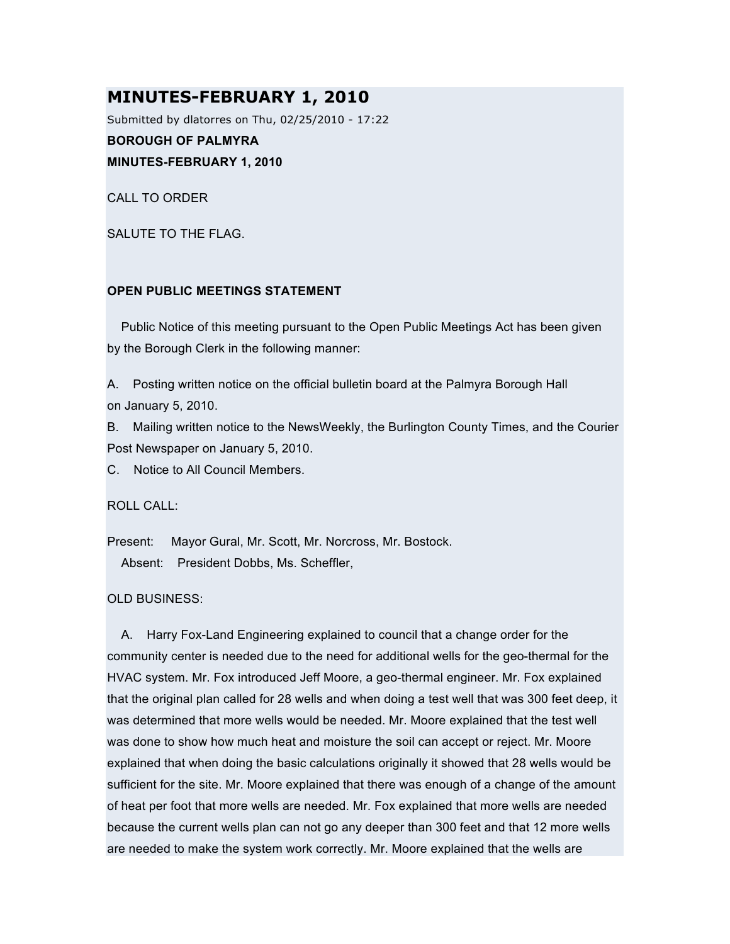# **MINUTES-FEBRUARY 1, 2010**

Submitted by dlatorres on Thu, 02/25/2010 - 17:22

**BOROUGH OF PALMYRA**

**MINUTES-FEBRUARY 1, 2010**

CALL TO ORDER

SALUTE TO THE FLAG.

## **OPEN PUBLIC MEETINGS STATEMENT**

Public Notice of this meeting pursuant to the Open Public Meetings Act has been given by the Borough Clerk in the following manner:

A. Posting written notice on the official bulletin board at the Palmyra Borough Hall on January 5, 2010.

B. Mailing written notice to the NewsWeekly, the Burlington County Times, and the Courier Post Newspaper on January 5, 2010.

C. Notice to All Council Members.

ROLL CALL:

Present: Mayor Gural, Mr. Scott, Mr. Norcross, Mr. Bostock. Absent: President Dobbs, Ms. Scheffler,

OLD BUSINESS:

A. Harry Fox-Land Engineering explained to council that a change order for the community center is needed due to the need for additional wells for the geo-thermal for the HVAC system. Mr. Fox introduced Jeff Moore, a geo-thermal engineer. Mr. Fox explained that the original plan called for 28 wells and when doing a test well that was 300 feet deep, it was determined that more wells would be needed. Mr. Moore explained that the test well was done to show how much heat and moisture the soil can accept or reject. Mr. Moore explained that when doing the basic calculations originally it showed that 28 wells would be sufficient for the site. Mr. Moore explained that there was enough of a change of the amount of heat per foot that more wells are needed. Mr. Fox explained that more wells are needed because the current wells plan can not go any deeper than 300 feet and that 12 more wells are needed to make the system work correctly. Mr. Moore explained that the wells are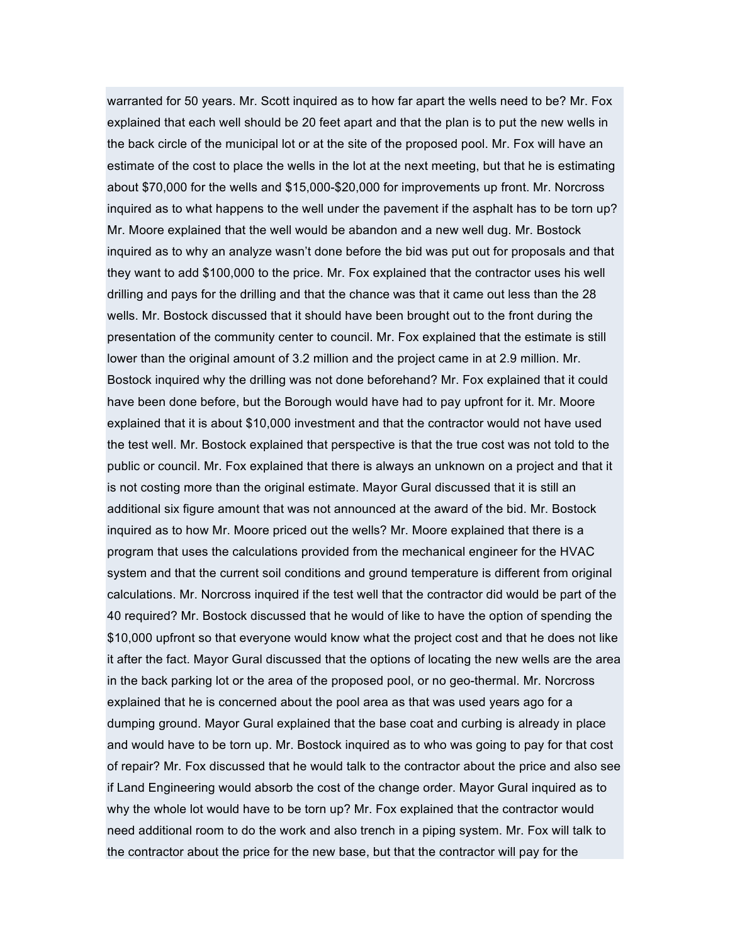warranted for 50 years. Mr. Scott inquired as to how far apart the wells need to be? Mr. Fox explained that each well should be 20 feet apart and that the plan is to put the new wells in the back circle of the municipal lot or at the site of the proposed pool. Mr. Fox will have an estimate of the cost to place the wells in the lot at the next meeting, but that he is estimating about \$70,000 for the wells and \$15,000-\$20,000 for improvements up front. Mr. Norcross inquired as to what happens to the well under the pavement if the asphalt has to be torn up? Mr. Moore explained that the well would be abandon and a new well dug. Mr. Bostock inquired as to why an analyze wasn't done before the bid was put out for proposals and that they want to add \$100,000 to the price. Mr. Fox explained that the contractor uses his well drilling and pays for the drilling and that the chance was that it came out less than the 28 wells. Mr. Bostock discussed that it should have been brought out to the front during the presentation of the community center to council. Mr. Fox explained that the estimate is still lower than the original amount of 3.2 million and the project came in at 2.9 million. Mr. Bostock inquired why the drilling was not done beforehand? Mr. Fox explained that it could have been done before, but the Borough would have had to pay upfront for it. Mr. Moore explained that it is about \$10,000 investment and that the contractor would not have used the test well. Mr. Bostock explained that perspective is that the true cost was not told to the public or council. Mr. Fox explained that there is always an unknown on a project and that it is not costing more than the original estimate. Mayor Gural discussed that it is still an additional six figure amount that was not announced at the award of the bid. Mr. Bostock inquired as to how Mr. Moore priced out the wells? Mr. Moore explained that there is a program that uses the calculations provided from the mechanical engineer for the HVAC system and that the current soil conditions and ground temperature is different from original calculations. Mr. Norcross inquired if the test well that the contractor did would be part of the 40 required? Mr. Bostock discussed that he would of like to have the option of spending the \$10,000 upfront so that everyone would know what the project cost and that he does not like it after the fact. Mayor Gural discussed that the options of locating the new wells are the area in the back parking lot or the area of the proposed pool, or no geo-thermal. Mr. Norcross explained that he is concerned about the pool area as that was used years ago for a dumping ground. Mayor Gural explained that the base coat and curbing is already in place and would have to be torn up. Mr. Bostock inquired as to who was going to pay for that cost of repair? Mr. Fox discussed that he would talk to the contractor about the price and also see if Land Engineering would absorb the cost of the change order. Mayor Gural inquired as to why the whole lot would have to be torn up? Mr. Fox explained that the contractor would need additional room to do the work and also trench in a piping system. Mr. Fox will talk to the contractor about the price for the new base, but that the contractor will pay for the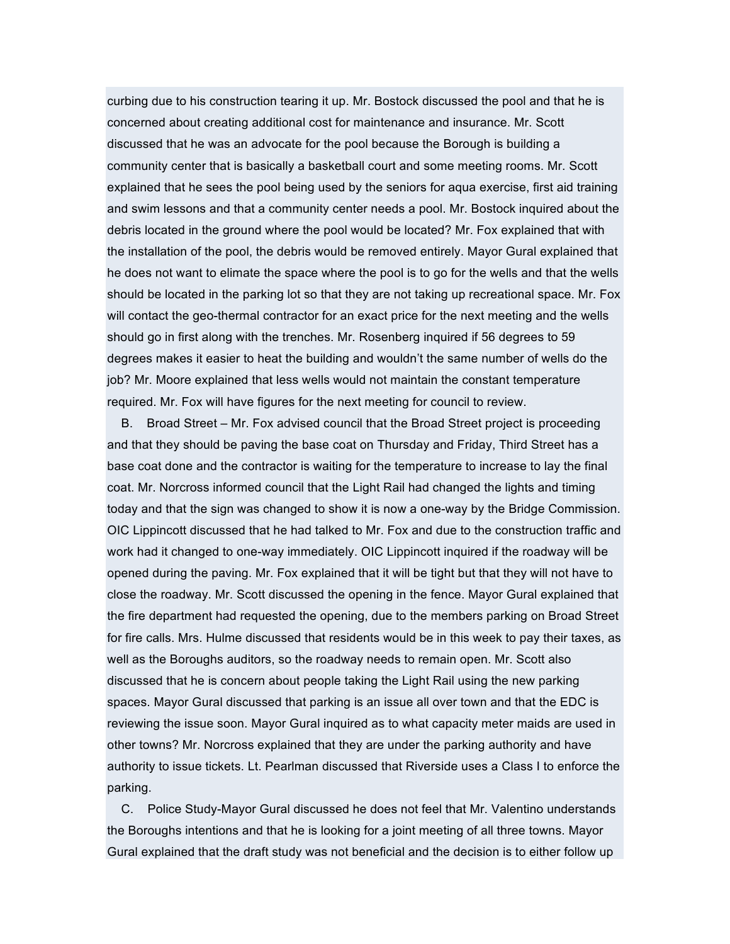curbing due to his construction tearing it up. Mr. Bostock discussed the pool and that he is concerned about creating additional cost for maintenance and insurance. Mr. Scott discussed that he was an advocate for the pool because the Borough is building a community center that is basically a basketball court and some meeting rooms. Mr. Scott explained that he sees the pool being used by the seniors for aqua exercise, first aid training and swim lessons and that a community center needs a pool. Mr. Bostock inquired about the debris located in the ground where the pool would be located? Mr. Fox explained that with the installation of the pool, the debris would be removed entirely. Mayor Gural explained that he does not want to elimate the space where the pool is to go for the wells and that the wells should be located in the parking lot so that they are not taking up recreational space. Mr. Fox will contact the geo-thermal contractor for an exact price for the next meeting and the wells should go in first along with the trenches. Mr. Rosenberg inquired if 56 degrees to 59 degrees makes it easier to heat the building and wouldn't the same number of wells do the job? Mr. Moore explained that less wells would not maintain the constant temperature required. Mr. Fox will have figures for the next meeting for council to review.

B. Broad Street – Mr. Fox advised council that the Broad Street project is proceeding and that they should be paving the base coat on Thursday and Friday, Third Street has a base coat done and the contractor is waiting for the temperature to increase to lay the final coat. Mr. Norcross informed council that the Light Rail had changed the lights and timing today and that the sign was changed to show it is now a one-way by the Bridge Commission. OIC Lippincott discussed that he had talked to Mr. Fox and due to the construction traffic and work had it changed to one-way immediately. OIC Lippincott inquired if the roadway will be opened during the paving. Mr. Fox explained that it will be tight but that they will not have to close the roadway. Mr. Scott discussed the opening in the fence. Mayor Gural explained that the fire department had requested the opening, due to the members parking on Broad Street for fire calls. Mrs. Hulme discussed that residents would be in this week to pay their taxes, as well as the Boroughs auditors, so the roadway needs to remain open. Mr. Scott also discussed that he is concern about people taking the Light Rail using the new parking spaces. Mayor Gural discussed that parking is an issue all over town and that the EDC is reviewing the issue soon. Mayor Gural inquired as to what capacity meter maids are used in other towns? Mr. Norcross explained that they are under the parking authority and have authority to issue tickets. Lt. Pearlman discussed that Riverside uses a Class I to enforce the parking.

C. Police Study-Mayor Gural discussed he does not feel that Mr. Valentino understands the Boroughs intentions and that he is looking for a joint meeting of all three towns. Mayor Gural explained that the draft study was not beneficial and the decision is to either follow up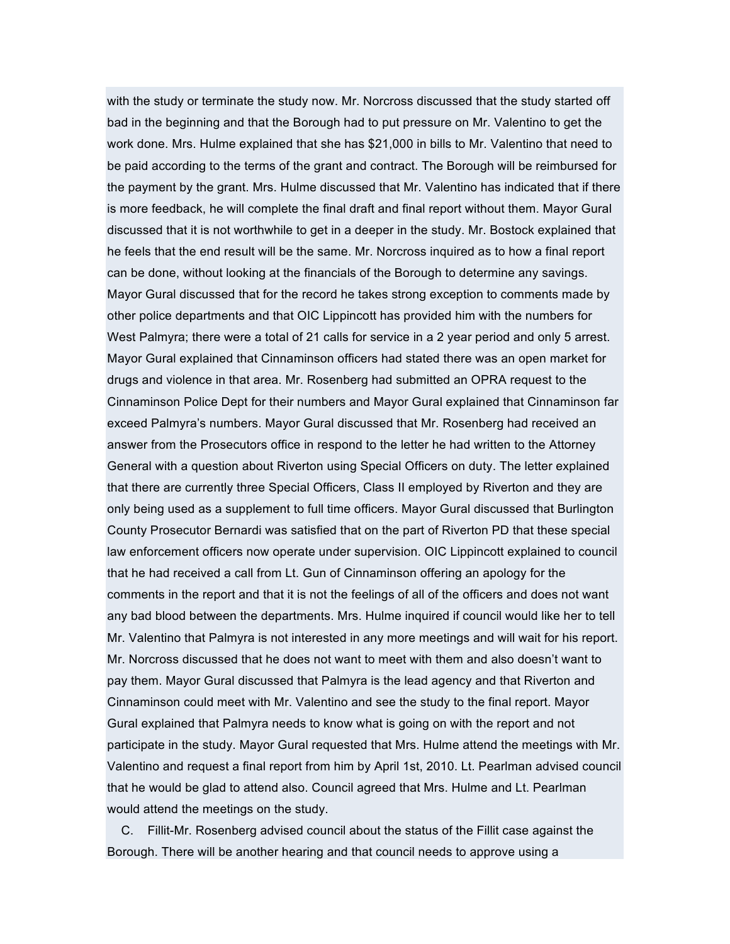with the study or terminate the study now. Mr. Norcross discussed that the study started off bad in the beginning and that the Borough had to put pressure on Mr. Valentino to get the work done. Mrs. Hulme explained that she has \$21,000 in bills to Mr. Valentino that need to be paid according to the terms of the grant and contract. The Borough will be reimbursed for the payment by the grant. Mrs. Hulme discussed that Mr. Valentino has indicated that if there is more feedback, he will complete the final draft and final report without them. Mayor Gural discussed that it is not worthwhile to get in a deeper in the study. Mr. Bostock explained that he feels that the end result will be the same. Mr. Norcross inquired as to how a final report can be done, without looking at the financials of the Borough to determine any savings. Mayor Gural discussed that for the record he takes strong exception to comments made by other police departments and that OIC Lippincott has provided him with the numbers for West Palmyra; there were a total of 21 calls for service in a 2 year period and only 5 arrest. Mayor Gural explained that Cinnaminson officers had stated there was an open market for drugs and violence in that area. Mr. Rosenberg had submitted an OPRA request to the Cinnaminson Police Dept for their numbers and Mayor Gural explained that Cinnaminson far exceed Palmyra's numbers. Mayor Gural discussed that Mr. Rosenberg had received an answer from the Prosecutors office in respond to the letter he had written to the Attorney General with a question about Riverton using Special Officers on duty. The letter explained that there are currently three Special Officers, Class II employed by Riverton and they are only being used as a supplement to full time officers. Mayor Gural discussed that Burlington County Prosecutor Bernardi was satisfied that on the part of Riverton PD that these special law enforcement officers now operate under supervision. OIC Lippincott explained to council that he had received a call from Lt. Gun of Cinnaminson offering an apology for the comments in the report and that it is not the feelings of all of the officers and does not want any bad blood between the departments. Mrs. Hulme inquired if council would like her to tell Mr. Valentino that Palmyra is not interested in any more meetings and will wait for his report. Mr. Norcross discussed that he does not want to meet with them and also doesn't want to pay them. Mayor Gural discussed that Palmyra is the lead agency and that Riverton and Cinnaminson could meet with Mr. Valentino and see the study to the final report. Mayor Gural explained that Palmyra needs to know what is going on with the report and not participate in the study. Mayor Gural requested that Mrs. Hulme attend the meetings with Mr. Valentino and request a final report from him by April 1st, 2010. Lt. Pearlman advised council that he would be glad to attend also. Council agreed that Mrs. Hulme and Lt. Pearlman would attend the meetings on the study.

C. Fillit-Mr. Rosenberg advised council about the status of the Fillit case against the Borough. There will be another hearing and that council needs to approve using a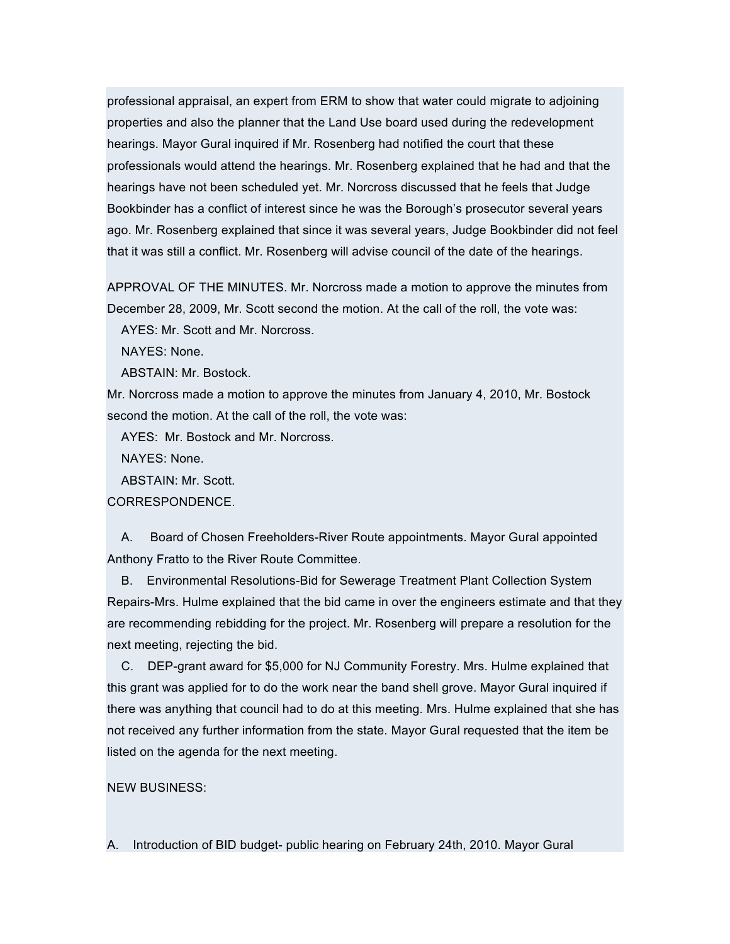professional appraisal, an expert from ERM to show that water could migrate to adjoining properties and also the planner that the Land Use board used during the redevelopment hearings. Mayor Gural inquired if Mr. Rosenberg had notified the court that these professionals would attend the hearings. Mr. Rosenberg explained that he had and that the hearings have not been scheduled yet. Mr. Norcross discussed that he feels that Judge Bookbinder has a conflict of interest since he was the Borough's prosecutor several years ago. Mr. Rosenberg explained that since it was several years, Judge Bookbinder did not feel that it was still a conflict. Mr. Rosenberg will advise council of the date of the hearings.

APPROVAL OF THE MINUTES. Mr. Norcross made a motion to approve the minutes from December 28, 2009, Mr. Scott second the motion. At the call of the roll, the vote was:

AYES: Mr. Scott and Mr. Norcross.

NAYES: None.

ABSTAIN: Mr. Bostock.

Mr. Norcross made a motion to approve the minutes from January 4, 2010, Mr. Bostock second the motion. At the call of the roll, the vote was:

AYES: Mr. Bostock and Mr. Norcross.

NAYES: None.

ABSTAIN: Mr. Scott.

CORRESPONDENCE.

A. Board of Chosen Freeholders-River Route appointments. Mayor Gural appointed Anthony Fratto to the River Route Committee.

B. Environmental Resolutions-Bid for Sewerage Treatment Plant Collection System Repairs-Mrs. Hulme explained that the bid came in over the engineers estimate and that they are recommending rebidding for the project. Mr. Rosenberg will prepare a resolution for the next meeting, rejecting the bid.

C. DEP-grant award for \$5,000 for NJ Community Forestry. Mrs. Hulme explained that this grant was applied for to do the work near the band shell grove. Mayor Gural inquired if there was anything that council had to do at this meeting. Mrs. Hulme explained that she has not received any further information from the state. Mayor Gural requested that the item be listed on the agenda for the next meeting.

# NEW BUSINESS:

A. Introduction of BID budget- public hearing on February 24th, 2010. Mayor Gural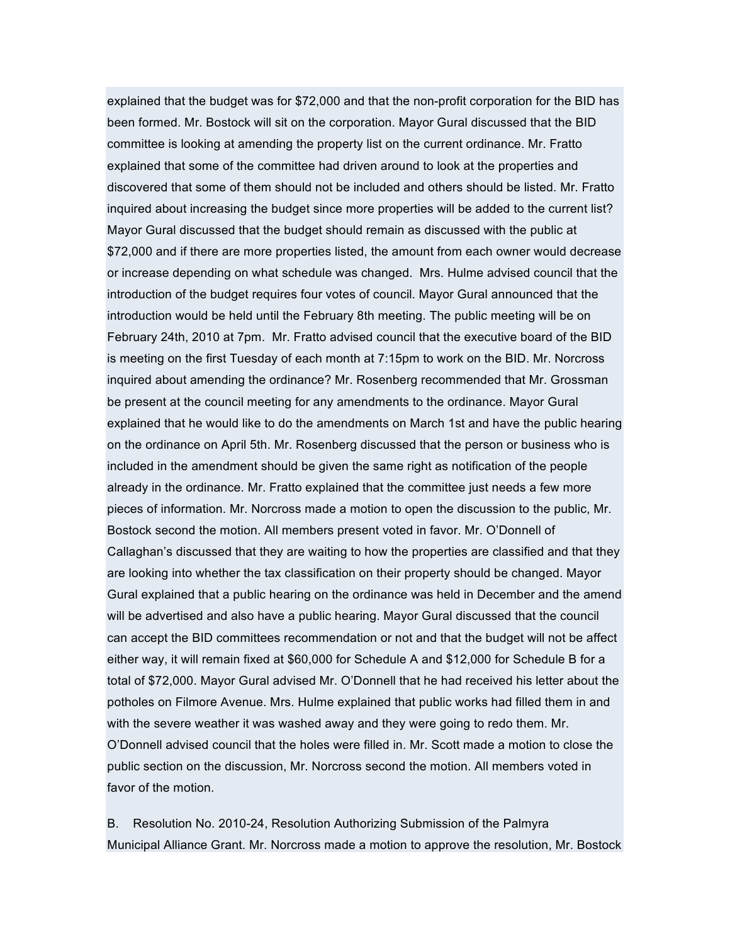explained that the budget was for \$72,000 and that the non-profit corporation for the BID has been formed. Mr. Bostock will sit on the corporation. Mayor Gural discussed that the BID committee is looking at amending the property list on the current ordinance. Mr. Fratto explained that some of the committee had driven around to look at the properties and discovered that some of them should not be included and others should be listed. Mr. Fratto inquired about increasing the budget since more properties will be added to the current list? Mayor Gural discussed that the budget should remain as discussed with the public at \$72,000 and if there are more properties listed, the amount from each owner would decrease or increase depending on what schedule was changed. Mrs. Hulme advised council that the introduction of the budget requires four votes of council. Mayor Gural announced that the introduction would be held until the February 8th meeting. The public meeting will be on February 24th, 2010 at 7pm. Mr. Fratto advised council that the executive board of the BID is meeting on the first Tuesday of each month at 7:15pm to work on the BID. Mr. Norcross inquired about amending the ordinance? Mr. Rosenberg recommended that Mr. Grossman be present at the council meeting for any amendments to the ordinance. Mayor Gural explained that he would like to do the amendments on March 1st and have the public hearing on the ordinance on April 5th. Mr. Rosenberg discussed that the person or business who is included in the amendment should be given the same right as notification of the people already in the ordinance. Mr. Fratto explained that the committee just needs a few more pieces of information. Mr. Norcross made a motion to open the discussion to the public, Mr. Bostock second the motion. All members present voted in favor. Mr. O'Donnell of Callaghan's discussed that they are waiting to how the properties are classified and that they are looking into whether the tax classification on their property should be changed. Mayor Gural explained that a public hearing on the ordinance was held in December and the amend will be advertised and also have a public hearing. Mayor Gural discussed that the council can accept the BID committees recommendation or not and that the budget will not be affect either way, it will remain fixed at \$60,000 for Schedule A and \$12,000 for Schedule B for a total of \$72,000. Mayor Gural advised Mr. O'Donnell that he had received his letter about the potholes on Filmore Avenue. Mrs. Hulme explained that public works had filled them in and with the severe weather it was washed away and they were going to redo them. Mr. O'Donnell advised council that the holes were filled in. Mr. Scott made a motion to close the public section on the discussion, Mr. Norcross second the motion. All members voted in favor of the motion.

B. Resolution No. 2010-24, Resolution Authorizing Submission of the Palmyra Municipal Alliance Grant. Mr. Norcross made a motion to approve the resolution, Mr. Bostock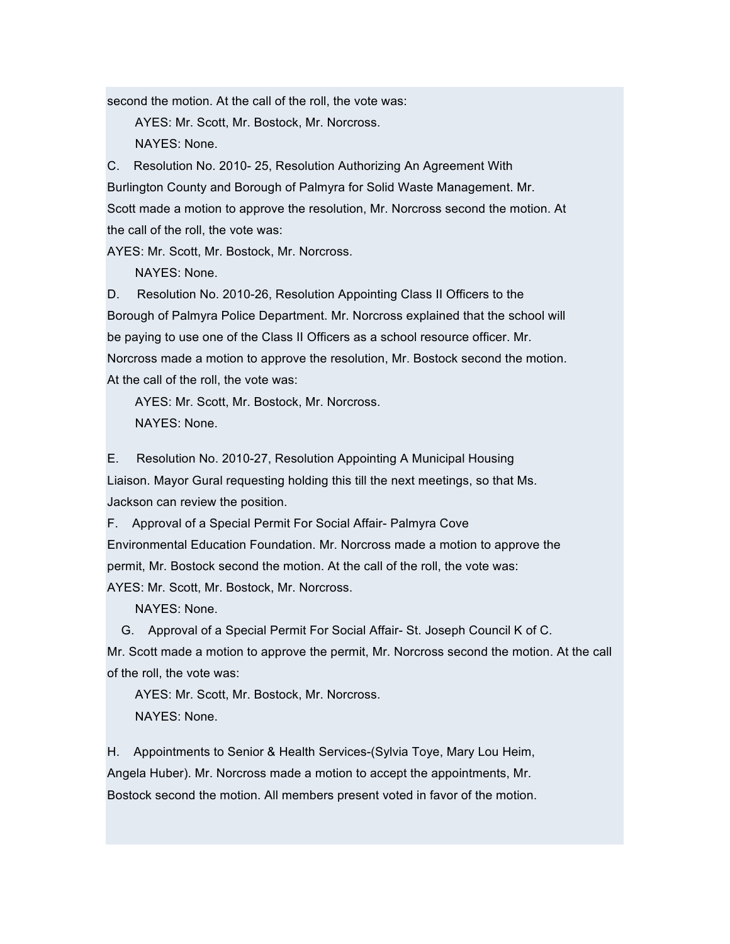second the motion. At the call of the roll, the vote was:

AYES: Mr. Scott, Mr. Bostock, Mr. Norcross.

NAYES: None.

C. Resolution No. 2010- 25, Resolution Authorizing An Agreement With Burlington County and Borough of Palmyra for Solid Waste Management. Mr. Scott made a motion to approve the resolution, Mr. Norcross second the motion. At the call of the roll, the vote was:

AYES: Mr. Scott, Mr. Bostock, Mr. Norcross.

NAYES: None.

D. Resolution No. 2010-26, Resolution Appointing Class II Officers to the Borough of Palmyra Police Department. Mr. Norcross explained that the school will be paying to use one of the Class II Officers as a school resource officer. Mr. Norcross made a motion to approve the resolution, Mr. Bostock second the motion. At the call of the roll, the vote was:

AYES: Mr. Scott, Mr. Bostock, Mr. Norcross. NAYES: None.

E. Resolution No. 2010-27, Resolution Appointing A Municipal Housing Liaison. Mayor Gural requesting holding this till the next meetings, so that Ms. Jackson can review the position.

F. Approval of a Special Permit For Social Affair- Palmyra Cove Environmental Education Foundation. Mr. Norcross made a motion to approve the permit, Mr. Bostock second the motion. At the call of the roll, the vote was: AYES: Mr. Scott, Mr. Bostock, Mr. Norcross.

NAYES: None.

G. Approval of a Special Permit For Social Affair- St. Joseph Council K of C. Mr. Scott made a motion to approve the permit, Mr. Norcross second the motion. At the call of the roll, the vote was:

AYES: Mr. Scott, Mr. Bostock, Mr. Norcross. NAYES: None.

H. Appointments to Senior & Health Services-(Sylvia Toye, Mary Lou Heim, Angela Huber). Mr. Norcross made a motion to accept the appointments, Mr. Bostock second the motion. All members present voted in favor of the motion.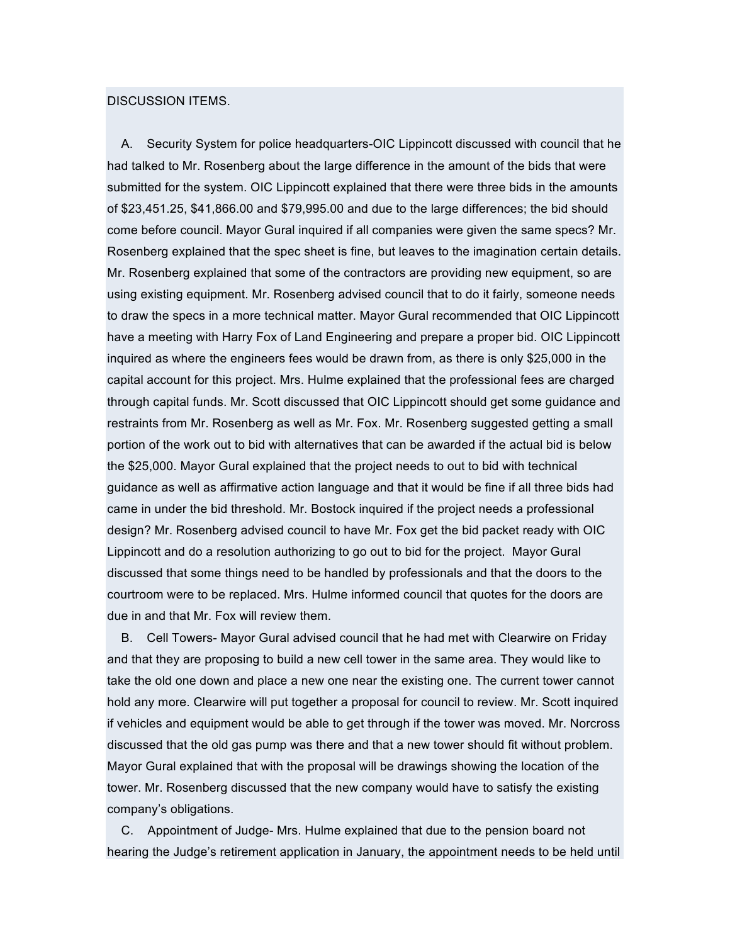#### DISCUSSION ITEMS.

A. Security System for police headquarters-OIC Lippincott discussed with council that he had talked to Mr. Rosenberg about the large difference in the amount of the bids that were submitted for the system. OIC Lippincott explained that there were three bids in the amounts of \$23,451.25, \$41,866.00 and \$79,995.00 and due to the large differences; the bid should come before council. Mayor Gural inquired if all companies were given the same specs? Mr. Rosenberg explained that the spec sheet is fine, but leaves to the imagination certain details. Mr. Rosenberg explained that some of the contractors are providing new equipment, so are using existing equipment. Mr. Rosenberg advised council that to do it fairly, someone needs to draw the specs in a more technical matter. Mayor Gural recommended that OIC Lippincott have a meeting with Harry Fox of Land Engineering and prepare a proper bid. OIC Lippincott inquired as where the engineers fees would be drawn from, as there is only \$25,000 in the capital account for this project. Mrs. Hulme explained that the professional fees are charged through capital funds. Mr. Scott discussed that OIC Lippincott should get some guidance and restraints from Mr. Rosenberg as well as Mr. Fox. Mr. Rosenberg suggested getting a small portion of the work out to bid with alternatives that can be awarded if the actual bid is below the \$25,000. Mayor Gural explained that the project needs to out to bid with technical guidance as well as affirmative action language and that it would be fine if all three bids had came in under the bid threshold. Mr. Bostock inquired if the project needs a professional design? Mr. Rosenberg advised council to have Mr. Fox get the bid packet ready with OIC Lippincott and do a resolution authorizing to go out to bid for the project. Mayor Gural discussed that some things need to be handled by professionals and that the doors to the courtroom were to be replaced. Mrs. Hulme informed council that quotes for the doors are due in and that Mr. Fox will review them.

B. Cell Towers- Mayor Gural advised council that he had met with Clearwire on Friday and that they are proposing to build a new cell tower in the same area. They would like to take the old one down and place a new one near the existing one. The current tower cannot hold any more. Clearwire will put together a proposal for council to review. Mr. Scott inquired if vehicles and equipment would be able to get through if the tower was moved. Mr. Norcross discussed that the old gas pump was there and that a new tower should fit without problem. Mayor Gural explained that with the proposal will be drawings showing the location of the tower. Mr. Rosenberg discussed that the new company would have to satisfy the existing company's obligations.

C. Appointment of Judge- Mrs. Hulme explained that due to the pension board not hearing the Judge's retirement application in January, the appointment needs to be held until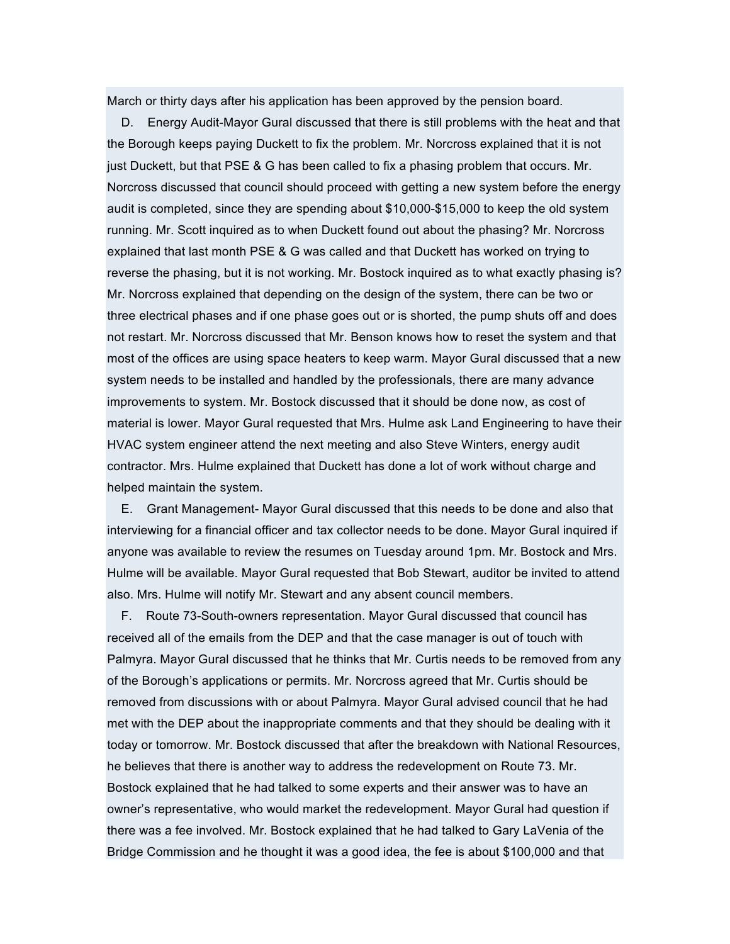March or thirty days after his application has been approved by the pension board.

D. Energy Audit-Mayor Gural discussed that there is still problems with the heat and that the Borough keeps paying Duckett to fix the problem. Mr. Norcross explained that it is not just Duckett, but that PSE & G has been called to fix a phasing problem that occurs. Mr. Norcross discussed that council should proceed with getting a new system before the energy audit is completed, since they are spending about \$10,000-\$15,000 to keep the old system running. Mr. Scott inquired as to when Duckett found out about the phasing? Mr. Norcross explained that last month PSE & G was called and that Duckett has worked on trying to reverse the phasing, but it is not working. Mr. Bostock inquired as to what exactly phasing is? Mr. Norcross explained that depending on the design of the system, there can be two or three electrical phases and if one phase goes out or is shorted, the pump shuts off and does not restart. Mr. Norcross discussed that Mr. Benson knows how to reset the system and that most of the offices are using space heaters to keep warm. Mayor Gural discussed that a new system needs to be installed and handled by the professionals, there are many advance improvements to system. Mr. Bostock discussed that it should be done now, as cost of material is lower. Mayor Gural requested that Mrs. Hulme ask Land Engineering to have their HVAC system engineer attend the next meeting and also Steve Winters, energy audit contractor. Mrs. Hulme explained that Duckett has done a lot of work without charge and helped maintain the system.

E. Grant Management- Mayor Gural discussed that this needs to be done and also that interviewing for a financial officer and tax collector needs to be done. Mayor Gural inquired if anyone was available to review the resumes on Tuesday around 1pm. Mr. Bostock and Mrs. Hulme will be available. Mayor Gural requested that Bob Stewart, auditor be invited to attend also. Mrs. Hulme will notify Mr. Stewart and any absent council members.

F. Route 73-South-owners representation. Mayor Gural discussed that council has received all of the emails from the DEP and that the case manager is out of touch with Palmyra. Mayor Gural discussed that he thinks that Mr. Curtis needs to be removed from any of the Borough's applications or permits. Mr. Norcross agreed that Mr. Curtis should be removed from discussions with or about Palmyra. Mayor Gural advised council that he had met with the DEP about the inappropriate comments and that they should be dealing with it today or tomorrow. Mr. Bostock discussed that after the breakdown with National Resources, he believes that there is another way to address the redevelopment on Route 73. Mr. Bostock explained that he had talked to some experts and their answer was to have an owner's representative, who would market the redevelopment. Mayor Gural had question if there was a fee involved. Mr. Bostock explained that he had talked to Gary LaVenia of the Bridge Commission and he thought it was a good idea, the fee is about \$100,000 and that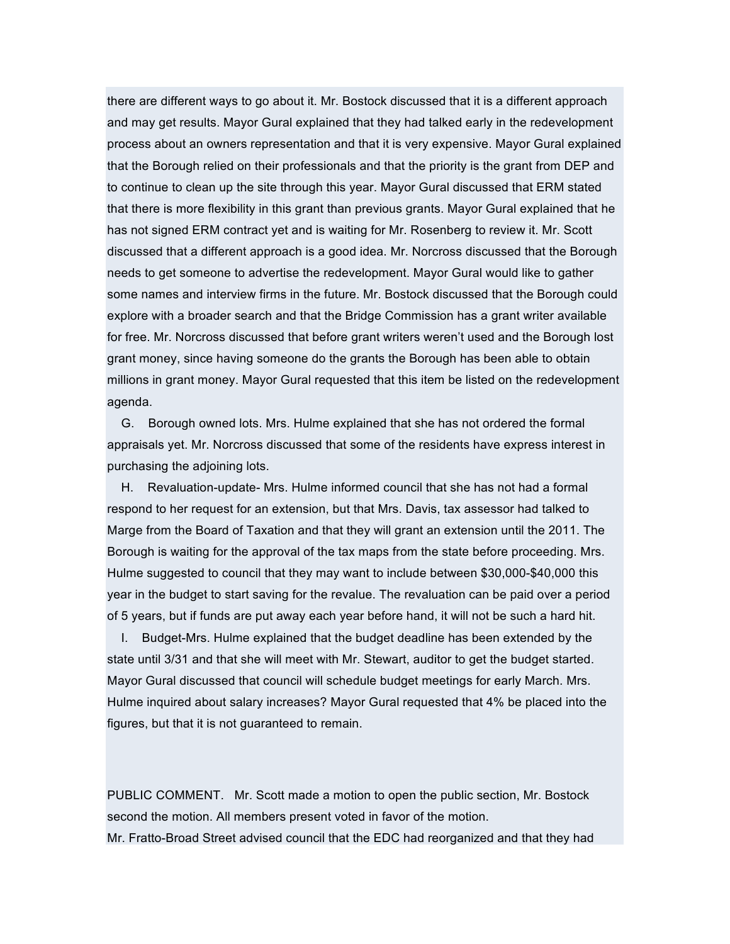there are different ways to go about it. Mr. Bostock discussed that it is a different approach and may get results. Mayor Gural explained that they had talked early in the redevelopment process about an owners representation and that it is very expensive. Mayor Gural explained that the Borough relied on their professionals and that the priority is the grant from DEP and to continue to clean up the site through this year. Mayor Gural discussed that ERM stated that there is more flexibility in this grant than previous grants. Mayor Gural explained that he has not signed ERM contract yet and is waiting for Mr. Rosenberg to review it. Mr. Scott discussed that a different approach is a good idea. Mr. Norcross discussed that the Borough needs to get someone to advertise the redevelopment. Mayor Gural would like to gather some names and interview firms in the future. Mr. Bostock discussed that the Borough could explore with a broader search and that the Bridge Commission has a grant writer available for free. Mr. Norcross discussed that before grant writers weren't used and the Borough lost grant money, since having someone do the grants the Borough has been able to obtain millions in grant money. Mayor Gural requested that this item be listed on the redevelopment agenda.

G. Borough owned lots. Mrs. Hulme explained that she has not ordered the formal appraisals yet. Mr. Norcross discussed that some of the residents have express interest in purchasing the adjoining lots.

H. Revaluation-update- Mrs. Hulme informed council that she has not had a formal respond to her request for an extension, but that Mrs. Davis, tax assessor had talked to Marge from the Board of Taxation and that they will grant an extension until the 2011. The Borough is waiting for the approval of the tax maps from the state before proceeding. Mrs. Hulme suggested to council that they may want to include between \$30,000-\$40,000 this year in the budget to start saving for the revalue. The revaluation can be paid over a period of 5 years, but if funds are put away each year before hand, it will not be such a hard hit.

I. Budget-Mrs. Hulme explained that the budget deadline has been extended by the state until 3/31 and that she will meet with Mr. Stewart, auditor to get the budget started. Mayor Gural discussed that council will schedule budget meetings for early March. Mrs. Hulme inquired about salary increases? Mayor Gural requested that 4% be placed into the figures, but that it is not guaranteed to remain.

PUBLIC COMMENT. Mr. Scott made a motion to open the public section, Mr. Bostock second the motion. All members present voted in favor of the motion. Mr. Fratto-Broad Street advised council that the EDC had reorganized and that they had